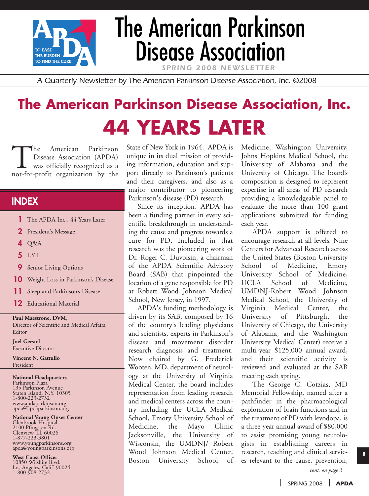

# The American Parkinson Disease Association

SPRING 2008 NEWSLET

*A Quarterly Newsletter by The American Parkinson Disease Association, Inc. ©2008*

# **The American Parkinson Disease Association, Inc. 44 YEARS LATER**

The American Parkinson<br>Disease Association (APDA)<br>was officially recognized as a<br>not-for-profit organization by the Disease Association (APDA) was officially recognized as a

## **INDEX**

- **1** The APDA Inc., 44 Years Later
- **2** President's Message
- **4** Q&A
- **5** F.Y.I.
- **9** Senior Living Options
- **10** Weight Loss in Parkinson's Disease
- **11** Sleep and Parkinson's Disease
- **12** Educational Material

#### **Paul Maestrone, DVM,**

Director of Scientific and Medical Affairs, Editor

**Joel Gerstel** Executive Director

**Vincent N. Gattullo** President

#### **National Headquarters**

Parkinson Plaza 135 Parkinson Avenue Staten Island, N.Y. 10305 1-800-223-2732 www.apdaparkinson.org apda@apdaparkinson.org

# **National Young Onset Center**

Glenbrook Hospital 2100 Pfingsten Rd. Glenview, Ill. 60026 1-877-223-3801 www.youngparkinsons.org apda@youngparkinsons.org

**West Coast Office:**

10850 Wilshire Blvd. Los Angeles, Calif. 90024 1-800-908-2732

State of New York in 1964. APDA is unique in its dual mission of providing information, education and support directly to Parkinson's patients and their caregivers, and also as a major contributor to pioneering Parkinson's disease (PD) research.

Since its inception, APDA has been a funding partner in every scientific breakthrough in understanding the cause and progress towards a cure for PD. Included in that research was the pioneering work of Dr. Roger C. Duvoisin, a chairman of the APDA Scientific Advisory Board (SAB) that pinpointed the location of a gene responsible for PD at Robert Wood Johnson Medical School, New Jersey, in 1997.

APDA's funding methodology is driven by its SAB, composed by 16 of the country's leading physicians and scientists, experts in Parkinson's disease and movement disorder research diagnosis and treatment. Now chaired by G. Frederick Wooten, MD, department of neurology at the University of Virginia Medical Center, the board includes representation from leading research and medical centers across the country including the UCLA Medical School, Emory University School of Medicine, the Mayo Clinic Jacksonville, the University of Wisconsin, the UMDNJ/ Robert Wood Johnson Medical Center, Boston University School of Medicine, Washington University, Johns Hopkins Medical School, the University of Alabama and the University of Chicago. The board's composition is designed to represent expertise in all areas of PD research providing a knowledgeable panel to evaluate the more than 100 grant applications submitted for funding each year.

APDA support is offered to encourage research at all levels. Nine Centers for Advanced Research across the United States (Boston University School of Medicine, Emory University School of Medicine, UCLA School of Medicine, UMDNJ-Robert Wood Johnson Medical School, the University of Virginia Medical Center, the University of Pittsburgh, the University of Chicago, the University of Alabama, and the Washington University Medical Center) receive a multi-year \$125,000 annual award, and their scientific activity is reviewed and evaluated at the SAB meeting each spring.

The George C. Cotzias, MD Memorial Fellowship, named after a pathfinder in the pharmacological exploration of brain functions and in the treatment of PD with levodopa, is a three-year annual award of \$80,000 to assist promising young neurologists in establishing careers in research, teaching and clinical services relevant to the cause, prevention,

*cont. on page 3*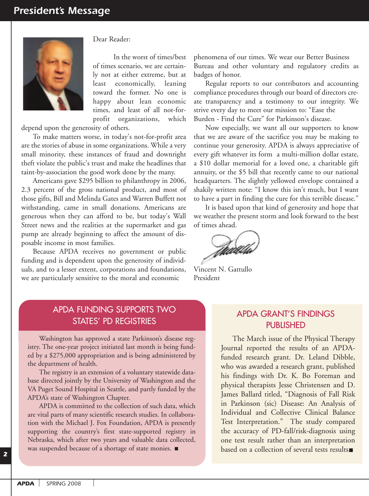

Dear Reader:

In the worst of times/best of times scenario, we are certainly not at either extreme, but at least economically, leaning toward the former. No one is happy about lean economic times, and least of all not-forprofit organizations, which

depend upon the generosity of others.

To make matters worse, in today's not-for-profit area are the stories of abuse in some organizations. While a very small minority, these instances of fraud and downright theft violate the public's trust and make the headlines that taint-by-association the good work done by the many.

Americans gave \$295 billion to philanthropy in 2006, 2.3 percent of the gross national product, and most of those gifts, Bill and Melinda Gates and Warren Buffett not withstanding, came in small donations. Americans are generous when they can afford to be, but today's Wall Street news and the realities at the supermarket and gas pump are already beginning to affect the amount of disposable income in most families.

Because APDA receives no government or public funding and is dependent upon the generosity of individuals, and to a lesser extent, corporations and foundations, we are particularly sensitive to the moral and economic

phenomena of our times. We wear our Better Business Bureau and other voluntary and regulatory credits as badges of honor.

Regular reports to our contributors and accounting compliance procedures through our board of directors create transparency and a testimony to our integrity. We strive every day to meet our mission to: "Ease the Burden - Find the Cure" for Parkinson's disease.

Now especially, we want all our supporters to know that we are aware of the sacrifice you may be making to continue your generosity. APDA is always appreciative of every gift whatever its form a multi-million dollar estate, a \$10 dollar memorial for a loved one, a charitable gift annuity, or the \$5 bill that recently came to our national headquarters. The slightly yellowed envelope contained a shakily written note: "I know this isn't much, but I want to have a part in finding the cure for this terrible disease."

It is based upon that kind of generosity and hope that we weather the present storm and look forward to the best of times ahead.

Vincent N. Gattullo President

#### APDA FUNDING SUPPORTS TWO STATES' PD REGISTRIES

Washington has approved a state Parkinson's disease registry. The one-year project initiated last month is being funded by a \$275,000 appropriation and is being administered by the department of health.

The registry is an extension of a voluntary statewide database directed jointly by the University of Washington and the VA Puget Sound Hospital in Seattle, and partly funded by the APDA's state of Washington Chapter.

APDA is committed to the collection of such data, which are vital parts of many scientific research studies. In collaboration with the Michael J. Fox Foundation, APDA is presently supporting the country's first state-supported registry in Nebraska, which after two years and valuable data collected, was suspended because of a shortage of state monies.

#### APDA GRANT'S FINDINGS PUBLISHED

The March issue of the Physical Therapy Journal reported the results of an APDAfunded research grant. Dr. Leland Dibble, who was awarded a research grant, published his findings with Dr. K. Bo Foreman and physical therapists Jesse Christensen and D. James Ballard titled, "Diagnosis of Fall Risk in Parkinson (sic) Disease: An Analysis of Individual and Collective Clinical Balance Test Interpretation." The study compared the accuracy of PD-fall/risk-diagnosis using one test result rather than an interpretation based on a collection of several tests results.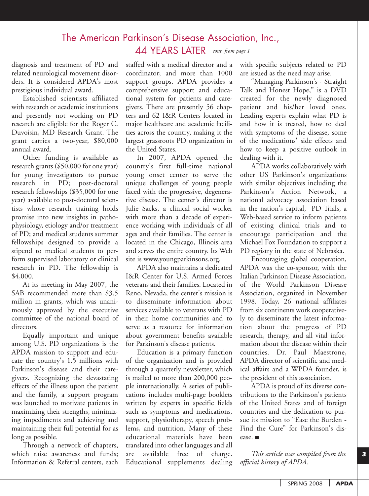# The American Parkinson's Disease Association, Inc., 44 YEARS LATER *cont. from page 1*

diagnosis and treatment of PD and related neurological movement disorders. It is considered APDA's most prestigious individual award.

Established scientists affiliated with research or academic institutions and presently not working on PD research are eligible for the Roger C. Duvoisin, MD Research Grant. The grant carries a two-year, \$80,000 annual award.

Other funding is available as research grants (\$50,000 for one year) for young investigators to pursue research in PD; post-doctoral research fellowships (\$35,000 for one year) available to post-doctoral scientists whose research training holds promise into new insights in pathophysiology, etiology and/or treatment of PD; and medical students summer fellowships designed to provide a stipend to medical students to perform supervised laboratory or clinical research in PD. The fellowship is \$4,000.

At its meeting in May 2007, the SAB recommended more than \$3.5 million in grants, which was unanimously approved by the executive committee of the national board of directors.

Equally important and unique among U.S. PD organizations is the APDA mission to support and educate the country's 1.5 millions with Parkinson's disease and their caregivers. Recognizing the devastating effects of the illness upon the patient and the family, a support program was launched to motivate patients in maximizing their strengths, minimizing impediments and achieving and maintaining their full potential for as long as possible.

Through a network of chapters, which raise awareness and funds; Information & Referral centers, each staffed with a medical director and a coordinator; and more than 1000 support groups, APDA provides a comprehensive support and educational system for patients and caregivers. There are presently 56 chapters and 62 I&R Centers located in major healthcare and academic facilities across the country, making it the largest grassroots PD organization in the United States.

In 2007, APDA opened the country's first full-time national young onset center to serve the unique challenges of young people faced with the progressive, degenerative disease. The center's director is Julie Sacks, a clinical social worker with more than a decade of experience working with individuals of all ages and their families. The center is located in the Chicago, Illinois area and serves the entire country. Its Web site is www.youngparkinsons.org.

APDA also maintains a dedicated I&R Center for U.S. Armed Forces veterans and their families. Located in Reno, Nevada, the center's mission is to disseminate information about services available to veterans with PD in their home communities and to serve as a resource for information about government benefits available for Parkinson's disease patients.

Education is a primary function of the organization and is provided through a quarterly newsletter, which is mailed to more than 200,000 people internationally. A series of publications includes multi-page booklets written by experts in specific fields such as symptoms and medications, support, physiotherapy, speech problems, and nutrition. Many of these educational materials have been translated into other languages and all are available free of charge. Educational supplements dealing with specific subjects related to PD are issued as the need may arise.

"Managing Parkinson's - Straight Talk and Honest Hope," is a DVD created for the newly diagnosed patient and his/her loved ones. Leading experts explain what PD is and how it is treated, how to deal with symptoms of the disease, some of the medications' side effects and how to keep a positive outlook in dealing with it.

APDA works collaboratively with other US Parkinson's organizations with similar objectives including the Parkinson's Action Network, a national advocacy association based in the nation's capital, PD Trials, a Web-based service to inform patients of existing clinical trials and to encourage participation and the Michael Fox Foundation to support a PD registry in the state of Nebraska.

Encouraging global cooperation, APDA was the co-sponsor, with the Italian Parkinson Disease Association, of the World Parkinson Disease Association, organized in November 1998. Today, 26 national affiliates from six continents work cooperatively to disseminate the latest information about the progress of PD research, therapy, and all vital information about the disease within their countries. Dr. Paul Maestrone, APDA director of scientific and medical affairs and a WPDA founder, is the president of this association.

APDA is proud of its diverse contributions to the Parkinson's patients of the United States and of foreign countries and the dedication to pursue its mission to "Ease the Burden - Find the Cure" for Parkinson's disease.

*This article was compiled from the official history of APDA.*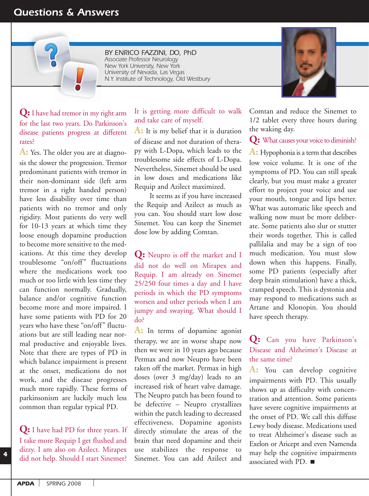# *Questions & Answers*

*BY ENRICO FAZZINI, DO, PhD Associate Professor Neurology New York University, New York University of Nevada, Las Vegas N.Y. Institute of Technology, Old Westbury*

**Q:** I have had tremor in my right arm for the last two years. Do Parkinson's disease patients progress at different rates?

**A:** Yes. The older you are at diagnosis the slower the progression. Tremor predominant patients with tremor in their non-dominant side (left arm tremor in a right handed person) have less disability over time than patients with no tremor and only rigidity. Most patients do very well for 10-13 years at which time they loose enough dopamine production to become more sensitive to the medications. At this time they develop troublesome "on/off" fluctuations where the medications work too much or too little with less time they can function normally. Gradually, balance and/or cognitive function become more and more impaired. I have some patients with PD for 20 years who have these "on/off" fluctuations but are still leading near normal productive and enjoyable lives. Note that there are types of PD in which balance impairment is present at the onset, medications do not work, and the disease progresses much more rapidly. These forms of parkinsonism are luckily much less common than regular typical PD.

**Q:** I have had PD for three years. If I take more Requip I get flushed and dizzy. I am also on Azilect. Mirapex did not help. Should I start Sinemet?

It is getting more difficult to walk and take care of myself.

**A:** It is my belief that it is duration of disease and not duration of therapy with L-Dopa, which leads to the troublesome side effects of L-Dopa. Nevertheless, Sinemet should be used in low doses and medications like Requip and Azilect maximized.

It seems as if you have increased the Requip and Azilect as much as you can. You should start low dose Sinemet. You can keep the Sinemet dose low by adding Comtan.

**Q:** Neupro is off the market and I did not do well on Mirapex and Requip. I am already on Sinemet 25/250 four times a day and I have periods in which the PD symptoms worsen and other periods when I am jumpy and swaying. What should I do?

A: In terms of dopamine agonist therapy, we are in worse shape now then we were in 10 years ago because Permax and now Neupro have been taken off the market. Permax in high doses (over 3 mg/day) leads to an increased risk of heart valve damage. The Neupro patch has been found to be defective – Neupro crystallizes within the patch leading to decreased effectiveness. Dopamine agonists directly stimulate the areas of the brain that need dopamine and their use stabilizes the response to Sinemet. You can add Azilect and

Comtan and reduce the Sinemet to 1/2 tablet every three hours during the waking day.

**Q:** What causes your voice to diminish?

**A:** Hypophonia is a term that describes low voice volume. It is one of the symptoms of PD. You can still speak clearly, but you must make a greater effort to project your voice and use your mouth, tongue and lips better. What was automatic like speech and walking now must be more deliberate. Some patients also slur or stutter their words together. This is called pallilalia and may be a sign of too much medication. You must slow down when this happens. Finally, some PD patients (especially after deep brain stimulation) have a thick, cramped speech. This is dystonia and may respond to medications such as Artane and Klonopin. You should have speech therapy.

#### **Q:** Can you have Parkinson's Disease and Alzheimer's Disease at the same time?

**A:** You can develop cognitive impairments with PD. This usually shows up as difficulty with concentration and attention. Some patients have severe cognitive impairments at the onset of PD. We call this diffuse Lewy body disease. Medications used to treat Alzheimer's disease such as Exelon or Aricept and even Namenda may help the cognitive impairments associated with PD.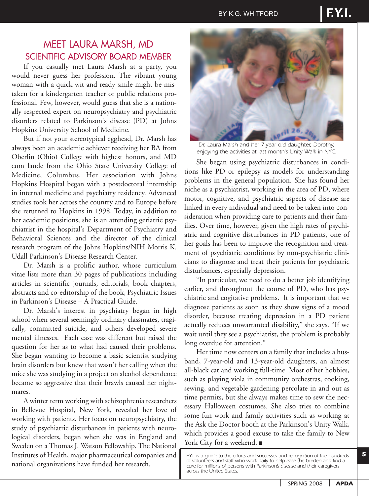# MEET LAURA MARSH, MD SCIENTIFIC ADVISORY BOARD MEMBER

If you casually met Laura Marsh at a party, you would never guess her profession. The vibrant young woman with a quick wit and ready smile might be mistaken for a kindergarten teacher or public relations professional. Few, however, would guess that she is a nationally respected expert on neuropsychiatry and psychiatric disorders related to Parkinson's disease (PD) at Johns Hopkins University School of Medicine.

But if not your stereotypical egghead, Dr. Marsh has always been an academic achiever receiving her BA from Oberlin (Ohio) College with highest honors, and MD cum laude from the Ohio State University College of Medicine, Columbus. Her association with Johns Hopkins Hospital began with a postdoctoral internship in internal medicine and psychiatry residency. Advanced studies took her across the country and to Europe before she returned to Hopkins in 1998. Today, in addition to her academic positions, she is an attending geriatric psychiatrist in the hospital's Department of Psychiatry and Behavioral Sciences and the director of the clinical research program of the Johns Hopkins/NIH Morris K. Udall Parkinson's Disease Research Center.

Dr. Marsh is a prolific author, whose curriculum vitae lists more than 30 pages of publications including articles in scientific journals, editorials, book chapters, abstracts and co-editorship of the book, Psychiatric Issues in Parkinson's Disease – A Practical Guide.

Dr. Marsh's interest in psychiatry began in high school when several seemingly ordinary classmates, tragically, committed suicide, and others developed severe mental illnesses. Each case was different but raised the question for her as to what had caused their problems. She began wanting to become a basic scientist studying brain disorders but knew that wasn't her calling when the mice she was studying in a project on alcohol dependence became so aggressive that their brawls caused her nightmares.

A winter term working with schizophrenia researchers in Bellevue Hospital, New York, revealed her love of working with patients. Her focus on neuropsychiatry, the study of psychiatric disturbances in patients with neurological disorders, began when she was in England and Sweden on a Thomas J. Watson Fellowship. The National Institutes of Health, major pharmaceutical companies and national organizations have funded her research.



*Dr. Laura Marsh and her 7-year old daughter, Dorothy, enjoying the activities at last month's Unity Walk in NYC.*

She began using psychiatric disturbances in conditions like PD or epilepsy as models for understanding problems in the general population. She has found her niche as a psychiatrist, working in the area of PD, where motor, cognitive, and psychiatric aspects of disease are linked in every individual and need to be taken into consideration when providing care to patients and their families. Over time, however, given the high rates of psychiatric and cognitive disturbances in PD patients, one of her goals has been to improve the recognition and treatment of psychiatric conditions by non-psychiatric clinicians to diagnose and treat their patients for psychiatric disturbances, especially depression.

"In particular, we need to do a better job identifying earlier, and throughout the course of PD, who has psychiatric and cogitative problems. It is important that we diagnose patients as soon as they show signs of a mood disorder, because treating depression in a PD patient actually reduces unwarranted disability," she says. "If we wait until they see a psychiatrist, the problem is probably long overdue for attention."

Her time now centers on a family that includes a husband, 7-year-old and 13-year-old daughters, an almost all-black cat and working full-time. Most of her hobbies, such as playing viola in community orchestras, cooking, sewing, and vegetable gardening percolate in and out as time permits, but she always makes time to sew the necessary Halloween costumes. She also tries to combine some fun work and family activities such as working at the Ask the Doctor booth at the Parkinson's Unity Walk, which provides a good excuse to take the family to New York City for a weekend.

*F.Y.I. is a guide to the efforts and successes and recognition of the hundreds of volunteers and staff who work daily to help ease the burden and find a cure for millions of persons with Parkinson's disease and their caregivers across the United States.*

*SPRING 2008 APDA*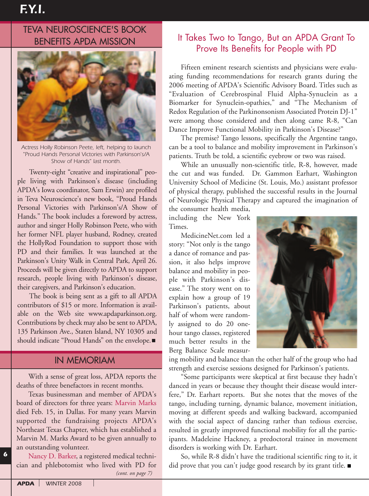# TEVA NEUROSCIENCE'S BOOK BENEFITS APDA MISSION



*Actress Holly Robinson Peete, left, helping to launch "Proud Hands Personal Victories with Parkinson's/A Show of Hands" last month.*

Twenty-eight "creative and inspirational" people living with Parkinson's disease (including APDA's Iowa coordinator, Sam Erwin) are profiled in Teva Neuroscience's new book, "Proud Hands Personal Victories with Parkinson's/A Show of Hands." The book includes a foreword by actress, author and singer Holly Robinson Peete, who with her former NFL player husband, Rodney, created the HollyRod Foundation to support those with PD and their families. It was launched at the Parkinson's Unity Walk in Central Park, April 26. Proceeds will be given directly to APDA to support research, people living with Parkinson's disease, their caregivers, and Parkinson's education.

The book is being sent as a gift to all APDA contributors of \$15 or more. Information is available on the Web site www.apdaparkinson.org. Contributions by check may also be sent to APDA, 135 Parkinson Ave., Staten Island, NY 10305 and should indicate "Proud Hands" on the envelope.

#### IN MEMORIAM

With a sense of great loss, APDA reports the deaths of three benefactors in recent months.

Texas businessman and member of APDA's board of directors for three years: Marvin Marks died Feb. 15, in Dallas. For many years Marvin supported the fundraising projects APDA's Northeast Texas Chapter, which has established a Marvin M. Marks Award to be given annually to an outstanding volunteer.

Nancy D. Barker, a registered medical technician and phlebotomist who lived with PD for *(cont. on page 7)*

## It Takes Two to Tango, But an APDA Grant To Prove Its Benefits for People with PD

Fifteen eminent research scientists and physicians were evaluating funding recommendations for research grants during the 2006 meeting of APDA's Scientific Advisory Board. Titles such as "Evaluation of Cerebrospinal Fluid Alpha-Synuclein as a Biomarker for Synuclein-opathies," and "The Mechanism of Redox Regulation of the Parkinonsonism Associated Protein DJ-1" were among those considered and then along came R-8, "Can Dance Improve Functional Mobility in Parkinson's Disease?"

The premise? Tango lessons, specifically the Argentine tango, can be a tool to balance and mobility improvement in Parkinson's patients. Truth be told, a scientific eyebrow or two was raised.

While an unusually non-scientific title, R-8, however, made the cut and was funded. Dr. Gammon Earhart, Washington University School of Medicine (St. Louis, Mo.) assistant professor of physical therapy, published the successful results in the Journal of Neurologic Physical Therapy and captured the imagination of

the consumer health media, including the New York Times.

MedicineNet.com led a story: "Not only is the tango a dance of romance and passion, it also helps improve balance and mobility in people with Parkinson's disease." The story went on to explain how a group of 19 Parkinson's patients, about half of whom were randomly assigned to do 20 onehour tango classes, registered much better results in the Berg Balance Scale measur-



ing mobility and balance than the other half of the group who had strength and exercise sessions designed for Parkinson's patients.

"Some participants were skeptical at first because they hadn't danced in years or because they thought their disease would interfere," Dr. Earhart reports. But she notes that the moves of the tango, including turning, dynamic balance, movement initiation, moving at different speeds and walking backward, accompanied with the social aspect of dancing rather than tedious exercise, resulted in greatly improved functional mobility for all the participants. Madeleine Hackney, a predoctoral trainee in movement disorders is working with Dr. Earhart.

So, while R-8 didn't have the traditional scientific ring to it, it did prove that you can't judge good research by its grant title.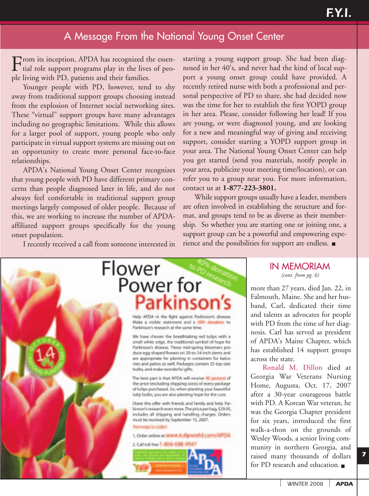# A Message From the National Young Onset Center

From its inception, APDA has recognized the essen-<br>tial role support programs play in the lives of people living with PD, patients and their families.

Younger people with PD, however, tend to shy away from traditional support groups choosing instead from the explosion of Internet social networking sites. These "virtual" support groups have many advantages including no geographic limitations. While this allows for a larger pool of support, young people who only participate in virtual support systems are missing out on an opportunity to create more personal face-to-face relationships.

APDA's National Young Onset Center recognizes that young people with PD have different primary concerns than people diagnosed later in life, and do not always feel comfortable in traditional support group meetings largely composed of older people. Because of this, we are working to increase the number of APDAaffiliated support groups specifically for the young onset population.

I recently received a call from someone interested in

starting a young support group. She had been diagnosed in her 40's, and never had the kind of local support a young onset group could have provided. A recently retired nurse with both a professional and personal perspective of PD to share, she had decided now was the time for her to establish the first YOPD group in her area. Please, consider following her lead! If you are young, or were diagnosed young, and are looking for a new and meaningful way of giving and receiving support, consider starting a YOPD support group in your area. The National Young Onset Center can help you get started (send you materials, notify people in your area, publicize your meeting time/location), or can refer you to a group near you. For more information, contact us at **1-877-223-3801.** 

While support groups usually have a leader, members are often involved in establishing the structure and format, and groups tend to be as diverse as their membership. So whether you are starting one or joining one, a support group can be a powerful and empowering experience and the possibilities for support are endless.



#### IN MEMORIAM *(cont. from pg. 6)*

more than 27 years, died Jan. 22, in Falmouth, Maine. She and her husband, Carl, dedicated their time and talents as advocates for people with PD from the time of her diagnosis. Carl has served as president of APDA's Maine Chapter, which has established 14 support groups across the state.

Ronald M. Dillon died at Georgia War Veterans Nursing Home, Augusta, Oct. 17, 2007 after a 30-year courageous battle with PD. A Korean War veteran, he was the Georgia Chapter president for six years, introduced the first walk-a-thon on the grounds of Wesley Woods, a senior living community in northern Georgia, and raised many thousands of dollars for PD research and education.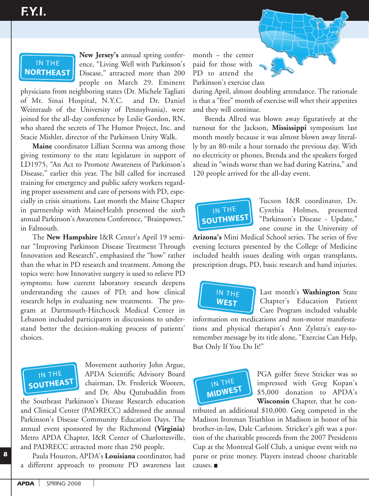# IN THE **NORTHEAST**

**New Jersey's** annual spring conference, "Living Well with Parkinson's Disease," attracted more than 200 people on March 29. Eminent

physicians from neighboring states (Dr. Michele Tagliati of Mt. Sinai Hospital, N.Y.C. and Dr. Daniel Weintraub of the University of Pennsylvania), were joined for the all-day conference by Leslie Gordon, RN, who shared the secrets of The Humor Project, Inc. and

Stacie Mishler, director of the Parkinson Unity Walk.<br> **Maine** coordinator Lillian Scenna was among tho<br>
giving testimony to the state legislature in support<br>
LD1975, "An Act to Promote Awareness of Parkinsor<br>
Disease," ea **Maine** coordinator Lillian Scenna was among those<br>ng testimony to the state legislature in support of<br>1975, "An Act to Promote Awareness of Parkinson's<br>tase," earlier this year. The bill called for increased<br>ing for emerg giving testimony to the state legislature in support of LD1975, "An Act to Promote Awareness of Parkinson's Disease," earlier this year. The bill called for increased training for emergency and public safety workers regarding proper assessment and care of persons with PD, especially in crisis situations. Last month the Maine Chapter in partnership with MaineHealth presented the sixth annual Parkinson's Awareness Conference, "Brainpower," in Falmouth.

The New Hampshire I&R Center's April 19 seminar "Improving Parkinson Disease Treatment Through Innovation and Research", emphasized the "how" rather than the what in PD research and treatment. Among the topics were: how Innovative surgery is used to relieve PD symptoms; how current laboratory research deepens understanding the causes of PD; and how clinical research helps in evaluating new treatments. The program at Dartmouth-Hitchcock Medical Center in Lebanon included participants in discussions to understand better the decision-making process of patients' choices. **SOUTE**<br> **SOCIET**<br> **SOCIET**<br> **SOCIET**<br> **SOCIET**<br> **SOCIET**<br> **SOCIET**<br> **SOCIET**<br> **SOCIET**<br> **SOCIET** 



Movement authority John Argue, APDA Scientific Advisory Board chairman, Dr. Frederick Wooten, and Dr. Abu Qutubuddin from

the Southeast Parkinson's Disease Research education and Clinical Center (PADRECC) addressed the annual Parkinson's Disease Community Education Days. The annual event sponsored by the Richmond **(Virginia)**<br>Metro APDA Chapter I8zP Center of Charlotteeville Metro APDA Chapter, I&R Center of Charlottesville, and PADRECC attracted more than 250 people.

Paula Houston, APDA's **Louisiana** coordinator, had a different approach to promote PD awareness last month – the center month – the center<br>paid for those with PD to attend the Parkinson's exercise class  $h - the$ 



during April, almost doubling attendance. The rationale is that a "free" month of exercise will whet their appetites and they will continue.

Brenda Allred was blown away figuratively at the turnout for the Jackson, **Mississippi** symposium last month mostly because it was almost blown away literally by an 80-mile a hour tornado the previous day. With no electricity or phones, Brenda and the speakers forged ahead in "winds worse than we had during Katrina," and 120 people arrived for the all-day event. enda Al<br>t for th<br>mostly<br>n 80-mi<br>tricity o<br>n "wind<br>ople arr mout for the Jan<br>
soluth mostly beca<br>
by an 80-mile a<br>
electricity or ph<br>
ad in "winds wo<br>
people arrived on's exception<br>April, a<br>a "free" i<br>ey will c<br>enda Al<br>t for the mostly Ing *A*pm, amoto<br>at a "free" mon<br>they will conti<br>Brenda Allred<br>nout for the Ja<br>th mostly beca<br>w an 80-mile a  $\frac{1}{2}$ 



Tucson I&R coordinator, Dr. Cynthia Holmes, presented "Parkinson's Disease - Update," one course in the University of

**Arizona's** Mini Medical School series. The series of five evening lectures presented by the College of Medicine included health issues dealing with organ transplants, prescription drugs, PD, basic research and hand injuries. **INTERNATION**<br>India Secured health<br>ption di **na's** Ming<br>lecture<br>**ed** health<br>**iption** dru

IN THE **WEST**

**NORTHEAST**

Last month's **Washington** State Chapter's Education Patient Care Program included valuable

information on medications and non-motor manifestamormation on medications and non motor mannesta remember message by its title alone, "Exercise Can Help, But Only If You Do It!" IN THE EXECUTION OF THE EXECUTION OF THE EXECUTION OF THE EXECUTION OF THE EXECUTION OF THE EXECUTION OF THE EXECUTION OF THE EXECUTION OF THE EXECUTION OF THE EXECUTION OF THE EXECUTION OF THE EXECUTION OF THE EXECUTION O **n**<br>**hd** phys<br>**Der messa**<br>**ly If You**  $\overline{1}$ 



**MIDWEST**

PGA golfer Steve Stricker was so impressed with Greg Kopan's \$5,000 donation to APDA's **Wisconsin** Chapter, that he con-

tributed an additional \$10,000. Greg competed in the Madison Ironman Triathlon in Madison in honor of his brother-in-law, Dale Carlstom. Stricker's gift was a portion of the charitable proceeds from the 2007 Presidents Cup at the Montreal Golf Club, a unique event with no purse or prize money. Players instead choose charitable causes. IN THE ed an ad<br>on Ironn<br>er-in-law,<br>f the cha<br>t the Mo<br>or prize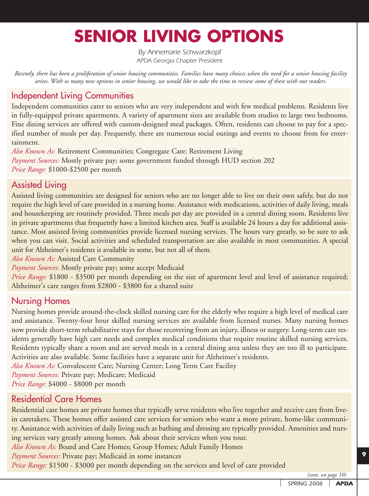# **SENIOR LIVING OPTIONS**

*By Annemarie Schwarzkopf APDA Georgia Chapter President*

*Recently, there has been a proliferation of senior housing communities. Families have many choices when the need for a senior housing facility arises. With so many new options in senior housing, we would like to take the time to review some of these with our readers.*

# Independent Living Communities

Independent communities cater to seniors who are very independent and with few medical problems. Residents live in fully-equipped private apartments. A variety of apartment sizes are available from studios to large two bedrooms. Fine dining services are offered with custom-designed meal packages. Often, residents can choose to pay for a specified number of meals per day. Frequently, there are numerous social outings and events to choose from for entertainment.

*Also Known As:* Retirement Communities; Congregate Care; Retirement Living *Payment Sources:* Mostly private pay; some government funded through HUD section 202 *Price Range:* \$1000-\$2500 per month

## Assisted Living

Assisted living communities are designed for seniors who are no longer able to live on their own safely, but do not require the high level of care provided in a nursing home. Assistance with medications, activities of daily living, meals and housekeeping are routinely provided. Three meals per day are provided in a central dining room. Residents live in private apartments that frequently have a limited kitchen area. Staff is available 24 hours a day for additional assistance. Most assisted living communities provide licensed nursing services. The hours vary greatly, so be sure to ask when you can visit. Social activities and scheduled transportation are also available in most communities. A special unit for Alzheimer's residents is available in some, but not all of them.

*Also Known As:* Assisted Care Community

*Payment Sources:* Mostly private pay; some accept Medicaid

*Price Range:* \$1800 - \$3500 per month depending on the size of apartment level and level of assistance required; Alzheimer's care ranges from \$2800 - \$3800 for a shared suite

### Nursing Homes

Nursing homes provide around-the-clock skilled nursing care for the elderly who require a high level of medical care and assistance. Twenty-four hour skilled nursing services are available from licensed nurses. Many nursing homes now provide short-term rehabilitative stays for those recovering from an injury, illness or surgery. Long-term care residents generally have high care needs and complex medical conditions that require routine skilled nursing services. Residents typically share a room and are served meals in a central dining area unless they are too ill to participate. Activities are also available. Some facilities have a separate unit for Alzheimer's residents.

*Also Known As:* Convalescent Care; Nursing Center; Long Term Care Facility

*Payment Sources:* Private pay; Medicare; Medicaid

*Price Range:* \$4000 - \$8000 per month

## Residential Care Homes

Residential care homes are private homes that typically serve residents who live together and receive care from livein caretakers. These homes offer assisted care services for seniors who want a more private, home-like community. Assistance with activities of daily living such as bathing and dressing are typically provided. Amenities and nursing services vary greatly among homes. Ask about their services when you tour.

*Also Known As:* Board and Care Homes; Group Homes; Adult Family Homes

*Payment Sources:* Private pay; Medicaid in some instances

*Price Range:* \$1500 - \$3000 per month depending on the services and level of care provided

*(cont. on page 10)*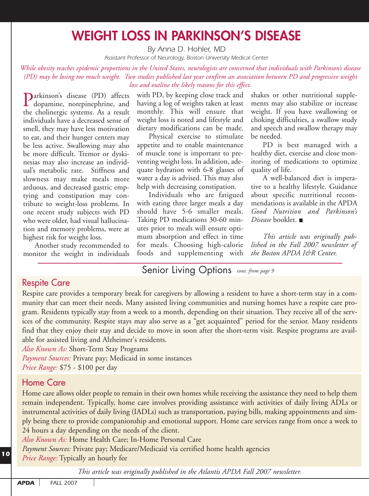# **WEIGHT LOSS IN PARKINSON'S DISEASE**

*By Anna D. Hohler, MD*

*Assistant Professor of Neurology, Boston University Medical Center*

*While obesity reaches epidemic proportions in the United States, neurologists are concerned that individuals with Parkinson's disease (PD) may be losing too much weight. Two studies published last year confirm an association between PD and progressive weight loss and outline the likely reasons for this effect.*

Parkinson's disease (PD) affects dopamine, norepinephrine, and the cholinergic systems. As a result individuals have a decreased sense of smell, they may have less motivation to eat, and their hunger centers may be less active. Swallowing may also be more difficult. Tremor or dyskinesias may also increase an individual's metabolic rate. Stiffness and slowness may make meals more arduous, and decreased gastric emptying and constipation may contribute to weight-loss problems. In one recent study subjects with PD who were older, had visual hallucination and memory problems, were at highest risk for weight loss.

Another study recommended to monitor the weight in individuals

with PD, by keeping close track and having a log of weights taken at least monthly. This will ensure that weight loss is noted and lifestyle and dietary modifications can be made.

Physical exercise to stimulate appetite and to enable maintenance of muscle tone is important to preventing weight loss. In addition, adequate hydration with 6-8 glasses of water a day is advised. This may also help with decreasing constipation.

Individuals who are fatigued with eating three larger meals a day should have 5-6 smaller meals. Taking PD medications 30-60 minutes prior to meals will ensure optimum absorption and effect in time for meals. Choosing high-calorie foods and supplementing with

shakes or other nutritional supplements may also stabilize or increase weight. If you have swallowing or choking difficulties, a swallow study and speech and swallow therapy may be needed.

PD is best managed with a healthy diet, exercise and close monitoring of medications to optimize quality of life.

A well-balanced diet is imperative to a healthy lifestyle. Guidance about specific nutritional recommendations is available in the APDA *Good Nutrition and Parkinson's Disease* booklet.

*This article was originally published in the Fall 2007 newsletter of the Boston APDA I&R Center.*

# Senior Living Options *cont. from page 9*

#### Respite Care

Respite care provides a temporary break for caregivers by allowing a resident to have a short-term stay in a community that can meet their needs. Many assisted living communities and nursing homes have a respite care program. Residents typically stay from a week to a month, depending on their situation. They receive all of the services of the community. Respite stays may also serve as a "get acquainted" period for the senior. Many residents find that they enjoy their stay and decide to move in soon after the short-term visit. Respite programs are available for assisted living and Alzheimer's residents.

*Also Known As:* Short-Term Stay Programs

*Payment Sources:* Private pay; Medicaid in some instances

*Price Range:* \$75 - \$100 per day

#### Home Care

Home care allows older people to remain in their own homes while receiving the assistance they need to help them remain independent. Typically, home care involves providing assistance with activities of daily living ADLs or instrumental activities of daily living (IADLs) such as transportation, paying bills, making appointments and simply being there to provide companionship and emotional support. Home care services range from once a week to 24 hours a day depending on the needs of the client.

*Also Known As:* Home Health Care; In-Home Personal Care

*Payment Sources:* Private pay; Medicare/Medicaid via certified home health agencies *Price Range:* Typically an hourly fee

*This article was originally published in the Atlantis APDA Fall 2007 newsletter.*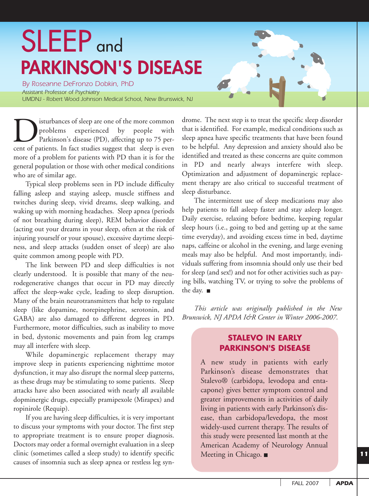# SLEEP and **PARKINSON'S DISEASE**

*By Roseanne DeFronzo Dobkin, PhD Assistant Professor of Psychiatry UMDNJ - Robert Wood Johnson Medical School, New Brunswick, NJ*

isturbances of sleep are one of the more common problems experienced by people with Parkinson's disease (PD), affecting up to 75 percent of patients. In fact studies suggest that sleep is even more of a problem for patients with PD than it is for the general population or those with other medical conditions who are of similar age.

Typical sleep problems seen in PD include difficulty falling asleep and staying asleep, muscle stiffness and twitches during sleep, vivid dreams, sleep walking, and waking up with morning headaches. Sleep apnea (periods of not breathing during sleep), REM behavior disorder (acting out your dreams in your sleep, often at the risk of injuring yourself or your spouse), excessive daytime sleepiness, and sleep attacks (sudden onset of sleep) are also quite common among people with PD.

The link between PD and sleep difficulties is not clearly understood. It is possible that many of the neurodegenerative changes that occur in PD may directly affect the sleep-wake cycle, leading to sleep disruption. Many of the brain neurotransmitters that help to regulate sleep (like dopamine, norepinephrine, serotonin, and GABA) are also damaged to different degrees in PD. Furthermore, motor difficulties, such as inability to move in bed, dystonic movements and pain from leg cramps may all interfere with sleep.

While dopaminergic replacement therapy may improve sleep in patients experiencing nighttime motor dysfunction, it may also disrupt the normal sleep patterns, as these drugs may be stimulating to some patients. Sleep attacks have also been associated with nearly all available dopminergic drugs, especially pramipexole (Mirapex) and ropinirole (Requip).

If you are having sleep difficulties, it is very important to discuss your symptoms with your doctor. The first step to appropriate treatment is to ensure proper diagnosis. Doctors may order a formal overnight evaluation in a sleep clinic (sometimes called a sleep study) to identify specific causes of insomnia such as sleep apnea or restless leg syndrome. The next step is to treat the specific sleep disorder that is identified. For example, medical conditions such as sleep apnea have specific treatments that have been found to be helpful. Any depression and anxiety should also be identified and treated as these concerns are quite common in PD and nearly always interfere with sleep. Optimization and adjustment of dopaminergic replacement therapy are also critical to successful treatment of sleep disturbance.

The intermittent use of sleep medications may also help patients to fall asleep faster and stay asleep longer. Daily exercise, relaxing before bedtime, keeping regular sleep hours (i.e., going to bed and getting up at the same time everyday), and avoiding excess time in bed, daytime naps, caffeine or alcohol in the evening, and large evening meals may also be helpful. And most importantly, individuals suffering from insomnia should only use their bed for sleep (and sex!) and not for other activities such as paying bills, watching TV, or trying to solve the problems of the day.

*This article was originally published in the New Brunswick, NJ APDA I&R Center in Winter 2006-2007.*

#### **STALEVO IN EARLY PARKINSON'S DISEASE**

A new study in patients with early Parkinson's disease demonstrates that Stalevo® (carbidopa, levodopa and entacapone) gives better symptom control and greater improvements in activities of daily living in patients with early Parkinson's disease, than carbidopa/levedopa, the most widely-used current therapy. The results of this study were presented last month at the American Academy of Neurology Annual Meeting in Chicago. ■